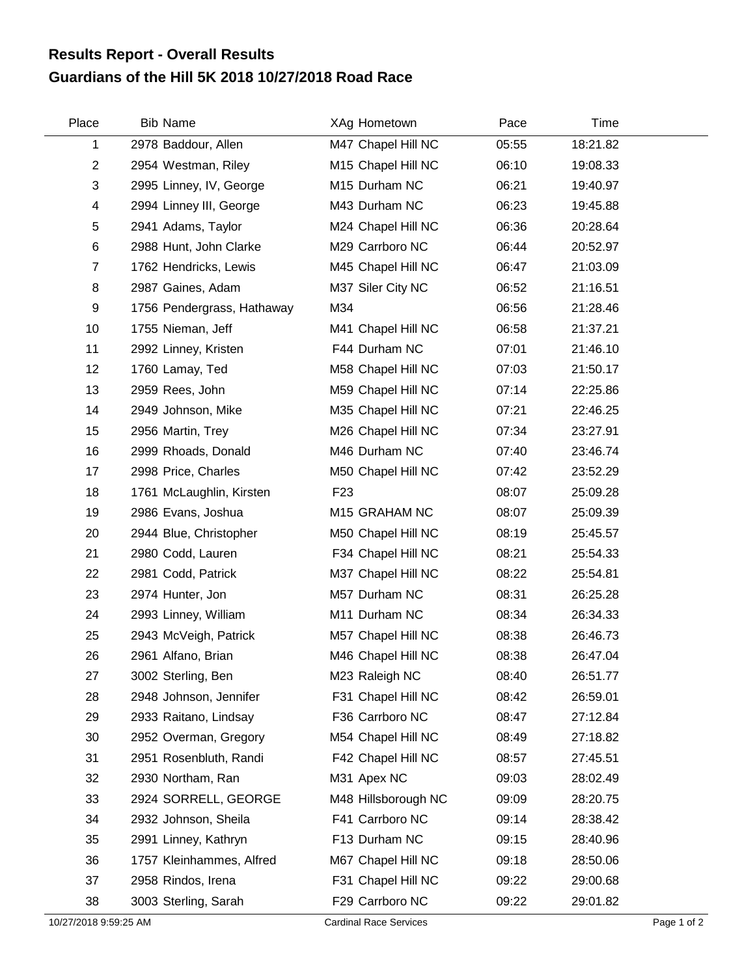## **Guardians of the Hill 5K 2018 10/27/2018 Road Race Results Report - Overall Results**

| Place          | <b>Bib Name</b>            | XAg Hometown        | Pace  | Time     |  |
|----------------|----------------------------|---------------------|-------|----------|--|
| 1              | 2978 Baddour, Allen        | M47 Chapel Hill NC  | 05:55 | 18:21.82 |  |
| $\overline{c}$ | 2954 Westman, Riley        | M15 Chapel Hill NC  | 06:10 | 19:08.33 |  |
| 3              | 2995 Linney, IV, George    | M15 Durham NC       | 06:21 | 19:40.97 |  |
| 4              | 2994 Linney III, George    | M43 Durham NC       | 06:23 | 19:45.88 |  |
| 5              | 2941 Adams, Taylor         | M24 Chapel Hill NC  | 06:36 | 20:28.64 |  |
| 6              | 2988 Hunt, John Clarke     | M29 Carrboro NC     | 06:44 | 20:52.97 |  |
| $\overline{7}$ | 1762 Hendricks, Lewis      | M45 Chapel Hill NC  | 06:47 | 21:03.09 |  |
| 8              | 2987 Gaines, Adam          | M37 Siler City NC   | 06:52 | 21:16.51 |  |
| 9              | 1756 Pendergrass, Hathaway | M34                 | 06:56 | 21:28.46 |  |
| 10             | 1755 Nieman, Jeff          | M41 Chapel Hill NC  | 06:58 | 21:37.21 |  |
| 11             | 2992 Linney, Kristen       | F44 Durham NC       | 07:01 | 21:46.10 |  |
| 12             | 1760 Lamay, Ted            | M58 Chapel Hill NC  | 07:03 | 21:50.17 |  |
| 13             | 2959 Rees, John            | M59 Chapel Hill NC  | 07:14 | 22:25.86 |  |
| 14             | 2949 Johnson, Mike         | M35 Chapel Hill NC  | 07:21 | 22:46.25 |  |
| 15             | 2956 Martin, Trey          | M26 Chapel Hill NC  | 07:34 | 23:27.91 |  |
| 16             | 2999 Rhoads, Donald        | M46 Durham NC       | 07:40 | 23:46.74 |  |
| 17             | 2998 Price, Charles        | M50 Chapel Hill NC  | 07:42 | 23:52.29 |  |
| 18             | 1761 McLaughlin, Kirsten   | F <sub>23</sub>     | 08:07 | 25:09.28 |  |
| 19             | 2986 Evans, Joshua         | M15 GRAHAM NC       | 08:07 | 25:09.39 |  |
| 20             | 2944 Blue, Christopher     | M50 Chapel Hill NC  | 08:19 | 25:45.57 |  |
| 21             | 2980 Codd, Lauren          | F34 Chapel Hill NC  | 08:21 | 25:54.33 |  |
| 22             | 2981 Codd, Patrick         | M37 Chapel Hill NC  | 08:22 | 25:54.81 |  |
| 23             | 2974 Hunter, Jon           | M57 Durham NC       | 08:31 | 26:25.28 |  |
| 24             | 2993 Linney, William       | M11 Durham NC       | 08:34 | 26:34.33 |  |
| 25             | 2943 McVeigh, Patrick      | M57 Chapel Hill NC  | 08:38 | 26:46.73 |  |
| 26             | 2961 Alfano, Brian         | M46 Chapel Hill NC  | 08:38 | 26:47.04 |  |
| 27             | 3002 Sterling, Ben         | M23 Raleigh NC      | 08:40 | 26:51.77 |  |
| 28             | 2948 Johnson, Jennifer     | F31 Chapel Hill NC  | 08:42 | 26:59.01 |  |
| 29             | 2933 Raitano, Lindsay      | F36 Carrboro NC     | 08:47 | 27:12.84 |  |
| 30             | 2952 Overman, Gregory      | M54 Chapel Hill NC  | 08:49 | 27:18.82 |  |
| 31             | 2951 Rosenbluth, Randi     | F42 Chapel Hill NC  | 08:57 | 27:45.51 |  |
| 32             | 2930 Northam, Ran          | M31 Apex NC         | 09:03 | 28:02.49 |  |
| 33             | 2924 SORRELL, GEORGE       | M48 Hillsborough NC | 09:09 | 28:20.75 |  |
| 34             | 2932 Johnson, Sheila       | F41 Carrboro NC     | 09:14 | 28:38.42 |  |
| 35             | 2991 Linney, Kathryn       | F13 Durham NC       | 09:15 | 28:40.96 |  |
| 36             | 1757 Kleinhammes, Alfred   | M67 Chapel Hill NC  | 09:18 | 28:50.06 |  |
| 37             | 2958 Rindos, Irena         | F31 Chapel Hill NC  | 09:22 | 29:00.68 |  |
| 38             | 3003 Sterling, Sarah       | F29 Carrboro NC     | 09:22 | 29:01.82 |  |